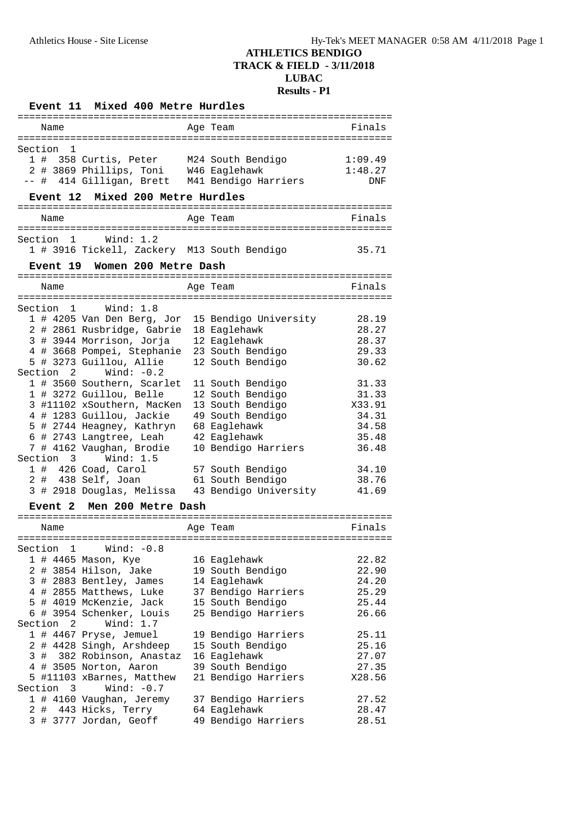|         | <b>Event 11</b> | Mixed 400 Metre Hurdles                   |  |                                             |                    |
|---------|-----------------|-------------------------------------------|--|---------------------------------------------|--------------------|
|         | Name            |                                           |  | Age Team                                    | Finals             |
|         |                 |                                           |  |                                             |                    |
| Section | ı.              | 1 # 358 Curtis, Peter                     |  |                                             |                    |
|         |                 | 2 # 3869 Phillips, Toni                   |  | M24 South Bendigo<br>W46 Eaglehawk          | 1:09.49<br>1:48.27 |
| -- #    |                 | 414 Gilligan, Brett                       |  | M41 Bendigo Harriers                        | <b>DNF</b>         |
|         |                 |                                           |  |                                             |                    |
|         | <b>Event 12</b> | Mixed 200 Metre Hurdles                   |  |                                             |                    |
|         | Name            |                                           |  | Age Team                                    | Finals             |
| Section | 1               | Wind: $1.2$                               |  |                                             |                    |
|         |                 |                                           |  | 1 # 3916 Tickell, Zackery M13 South Bendigo | 35.71              |
|         |                 | Event 19 Women 200 Metre Dash             |  |                                             |                    |
|         | Name            |                                           |  | Age Team                                    | Finals             |
|         |                 |                                           |  |                                             |                    |
| Section | 1               | Wind: $1.8$                               |  |                                             |                    |
|         |                 | 1 # 4205 Van Den Berg, Jor                |  | 15 Bendigo University                       | 28.19              |
|         |                 | 2 # 2861 Rusbridge, Gabrie                |  | 18 Eaglehawk                                | 28.27              |
|         |                 | 3 # 3944 Morrison, Jorja                  |  | 12 Eaglehawk                                | 28.37              |
|         |                 | 4 # 3668 Pompei, Stephanie                |  | 23 South Bendigo                            | 29.33              |
|         |                 | 5 # 3273 Guillou, Allie                   |  | 12 South Bendigo                            | 30.62              |
|         | Section 2       | Wind: $-0.2$                              |  |                                             |                    |
|         |                 | 1 # 3560 Southern, Scarlet                |  | 11 South Bendigo                            | 31.33              |
|         |                 | 1 # 3272 Guillou, Belle                   |  | 12 South Bendigo                            | 31.33              |
|         |                 | 3 #11102 xSouthern, MacKen                |  | 13 South Bendigo                            | X33.91             |
|         |                 | 4 # 1283 Guillou, Jackie                  |  | 49 South Bendigo                            | 34.31              |
|         |                 | 5 # 2744 Heagney, Kathryn                 |  | 68 Eaglehawk                                | 34.58              |
|         |                 | 6 # 2743 Langtree, Leah                   |  | 42 Eaglehawk                                | 35.48              |
|         |                 | 7 # 4162 Vaughan, Brodie                  |  | 10 Bendigo Harriers                         | 36.48              |
| Section | 3               | Wind: 1.5                                 |  |                                             |                    |
|         |                 | 1 # 426 Coad, Carol<br>2 # 438 Self, Joan |  | 57 South Bendigo                            | 34.10              |
|         |                 |                                           |  | 61 South Bendigo                            | 38.76<br>41.69     |
|         |                 | 3 # 2918 Douglas, Melissa                 |  | 43 Bendigo University                       |                    |
|         | Event 2         | Men 200 Metre Dash                        |  |                                             |                    |
|         | Name            |                                           |  | Age Team                                    | Finals             |
|         |                 |                                           |  |                                             |                    |
| Section | 1               | Wind: $-0.8$                              |  |                                             |                    |
|         |                 | 1 # 4465 Mason, Kye                       |  | 16 Eaglehawk                                | 22.82              |
|         |                 | 2 # 3854 Hilson, Jake                     |  | 19 South Bendigo                            | 22.90              |
|         |                 | 3 # 2883 Bentley, James                   |  | 14 Eaglehawk                                | 24.20              |
|         |                 | 4 # 2855 Matthews, Luke                   |  | 37 Bendigo Harriers                         | 25.29              |
|         |                 | 5 # 4019 McKenzie, Jack                   |  | 15 South Bendigo                            | 25.44              |
|         |                 | 6 # 3954 Schenker, Louis                  |  | 25 Bendigo Harriers                         | 26.66              |
|         | Section 2       | Wind: $1.7$                               |  |                                             |                    |
|         |                 | 1 # 4467 Pryse, Jemuel                    |  | 19 Bendigo Harriers                         | 25.11              |
|         |                 | 2 # 4428 Singh, Arshdeep                  |  | 15 South Bendigo                            | 25.16              |
|         |                 | 3 # 382 Robinson, Anastaz                 |  | 16 Eaglehawk                                | 27.07              |
|         |                 | 4 # 3505 Norton, Aaron                    |  | 39 South Bendigo                            | 27.35              |
|         |                 | 5 #11103 xBarnes, Matthew                 |  | 21 Bendigo Harriers                         | X28.56             |
|         | Section 3       | Wind: $-0.7$                              |  |                                             |                    |
|         |                 | 1 # 4160 Vaughan, Jeremy                  |  | 37 Bendigo Harriers                         | 27.52              |
|         |                 | 2 # 443 Hicks, Terry                      |  | 64 Eaglehawk                                | 28.47              |
|         |                 | 3 # 3777 Jordan, Geoff                    |  | 49 Bendigo Harriers                         | 28.51              |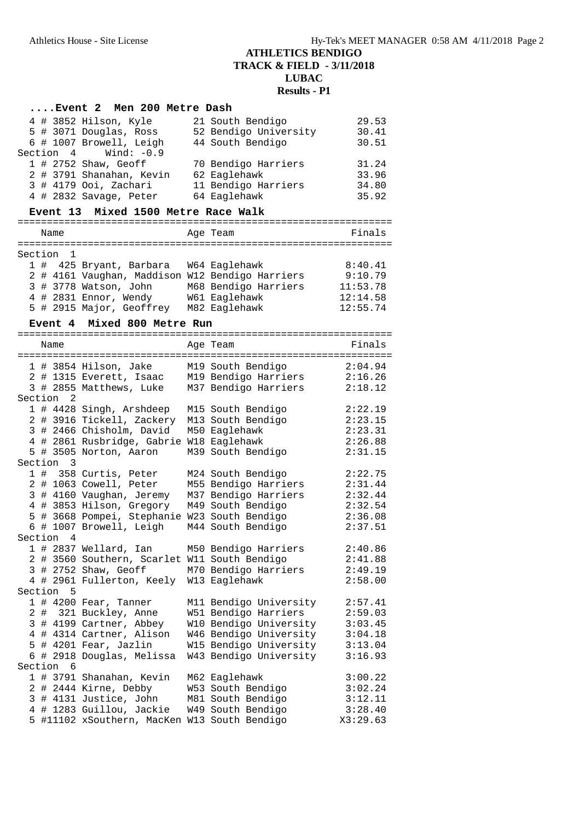|                                               |  |                | Event 2 Men 200 Metre Dash                      |  |                        |          |  |  |  |
|-----------------------------------------------|--|----------------|-------------------------------------------------|--|------------------------|----------|--|--|--|
|                                               |  |                | 4 # 3852 Hilson, Kyle                           |  | 21 South Bendigo       | 29.53    |  |  |  |
|                                               |  |                | 5 # 3071 Douglas, Ross                          |  | 52 Bendigo University  | 30.41    |  |  |  |
|                                               |  |                | 6 # 1007 Browell, Leigh                         |  | 44 South Bendigo       | 30.51    |  |  |  |
|                                               |  | Section 4      | Wind: $-0.9$                                    |  |                        |          |  |  |  |
|                                               |  |                | 1 # 2752 Shaw, Geoff                            |  | 70 Bendigo Harriers    | 31.24    |  |  |  |
|                                               |  |                | 2 # 3791 Shanahan, Kevin                        |  | 62 Eaglehawk           | 33.96    |  |  |  |
|                                               |  |                | 3 # 4179 Ooi, Zachari                           |  | 11 Bendigo Harriers    | 34.80    |  |  |  |
|                                               |  |                | 4 # 2832 Savage, Peter                          |  | 64 Eaglehawk           | 35.92    |  |  |  |
| Mixed 1500 Metre Race Walk<br><b>Event 13</b> |  |                |                                                 |  |                        |          |  |  |  |
|                                               |  | Name           |                                                 |  | Age Team               | Finals   |  |  |  |
|                                               |  |                |                                                 |  |                        |          |  |  |  |
| Section                                       |  | 1              |                                                 |  |                        |          |  |  |  |
|                                               |  |                | 1 # 425 Bryant, Barbara                         |  | W64 Eaglehawk          | 8:40.41  |  |  |  |
|                                               |  |                | 2 # 4161 Vaughan, Maddison W12 Bendigo Harriers |  |                        | 9:10.79  |  |  |  |
|                                               |  |                | 3 # 3778 Watson, John                           |  | M68 Bendigo Harriers   | 11:53.78 |  |  |  |
|                                               |  |                | 4 # 2831 Ennor, Wendy                           |  | W61 Eaglehawk          | 12:14.58 |  |  |  |
|                                               |  |                | 5 # 2915 Major, Geoffrey M82 Eaglehawk          |  |                        | 12:55.74 |  |  |  |
|                                               |  |                |                                                 |  |                        |          |  |  |  |
|                                               |  | <b>Event 4</b> | Mixed 800 Metre Run                             |  |                        |          |  |  |  |
|                                               |  | Name           |                                                 |  | Age Team               | Finals   |  |  |  |
|                                               |  |                |                                                 |  |                        |          |  |  |  |
|                                               |  |                | 1 # 3854 Hilson, Jake                           |  | M19 South Bendigo      | 2:04.94  |  |  |  |
|                                               |  |                | 2 # 1315 Everett, Isaac                         |  | M19 Bendigo Harriers   | 2:16.26  |  |  |  |
|                                               |  |                | 3 # 2855 Matthews, Luke                         |  | M37 Bendigo Harriers   | 2:18.12  |  |  |  |
| Section                                       |  | 2              |                                                 |  |                        |          |  |  |  |
|                                               |  |                | 1 # 4428 Singh, Arshdeep                        |  | M15 South Bendigo      | 2:22.19  |  |  |  |
|                                               |  |                | 2 # 3916 Tickell, Zackery                       |  | M13 South Bendigo      | 2:23.15  |  |  |  |
|                                               |  |                | 3 # 2466 Chisholm, David                        |  | M50 Eaglehawk          | 2:23.31  |  |  |  |
|                                               |  |                | 4 # 2861 Rusbridge, Gabrie W18 Eaglehawk        |  |                        | 2:26.88  |  |  |  |
|                                               |  |                | 5 # 3505 Norton, Aaron                          |  | M39 South Bendigo      | 2:31.15  |  |  |  |
| Section                                       |  | 3              |                                                 |  |                        |          |  |  |  |
|                                               |  |                | 1 # 358 Curtis, Peter                           |  | M24 South Bendigo      | 2:22.75  |  |  |  |
|                                               |  |                | 2 # 1063 Cowell, Peter                          |  | M55 Bendigo Harriers   | 2:31.44  |  |  |  |
|                                               |  |                | 3 # 4160 Vaughan, Jeremy                        |  | M37 Bendigo Harriers   | 2:32.44  |  |  |  |
|                                               |  |                | 4 # 3853 Hilson, Gregory                        |  | M49 South Bendigo      | 2:32.54  |  |  |  |
|                                               |  |                | 5 # 3668 Pompei, Stephanie W23 South Bendigo    |  |                        | 2:36.08  |  |  |  |
|                                               |  |                | 6 # 1007 Browell, Leigh                         |  | M44 South Bendigo      | 2:37.51  |  |  |  |
| Section                                       |  | 4              |                                                 |  |                        |          |  |  |  |
|                                               |  |                | 1 # 2837 Wellard, Ian                           |  | M50 Bendigo Harriers   | 2:40.86  |  |  |  |
|                                               |  |                | 2 # 3560 Southern, Scarlet W11 South Bendigo    |  |                        | 2:41.88  |  |  |  |
|                                               |  |                | 3 # 2752 Shaw, Geoff                            |  | M70 Bendigo Harriers   | 2:49.19  |  |  |  |
|                                               |  |                | 4 # 2961 Fullerton, Keely W13 Eaglehawk         |  |                        | 2:58.00  |  |  |  |
| Section                                       |  | 5              |                                                 |  |                        |          |  |  |  |
|                                               |  |                | 1 # 4200 Fear, Tanner                           |  | M11 Bendigo University | 2:57.41  |  |  |  |
|                                               |  |                | 2 # 321 Buckley, Anne                           |  | W51 Bendigo Harriers   | 2:59.03  |  |  |  |
|                                               |  |                | 3 # 4199 Cartner, Abbey                         |  | W10 Bendigo University | 3:03.45  |  |  |  |
|                                               |  |                | 4 # 4314 Cartner, Alison                        |  | W46 Bendigo University | 3:04.18  |  |  |  |
|                                               |  |                | 5 # 4201 Fear, Jazlin                           |  | W15 Bendigo University | 3:13.04  |  |  |  |
|                                               |  |                | 6 # 2918 Douglas, Melissa                       |  | W43 Bendigo University | 3:16.93  |  |  |  |
| Section 6                                     |  |                |                                                 |  |                        |          |  |  |  |
|                                               |  |                | 1 # 3791 Shanahan, Kevin                        |  | M62 Eaglehawk          | 3:00.22  |  |  |  |
|                                               |  |                | 2 # 2444 Kirne, Debby                           |  | W53 South Bendigo      | 3:02.24  |  |  |  |
|                                               |  |                | 3 # 4131 Justice, John                          |  | M81 South Bendigo      | 3:12.11  |  |  |  |
|                                               |  |                | 4 # 1283 Guillou, Jackie                        |  | W49 South Bendigo      | 3:28.40  |  |  |  |
|                                               |  |                | 5 #11102 xSouthern, MacKen W13 South Bendigo    |  |                        | X3:29.63 |  |  |  |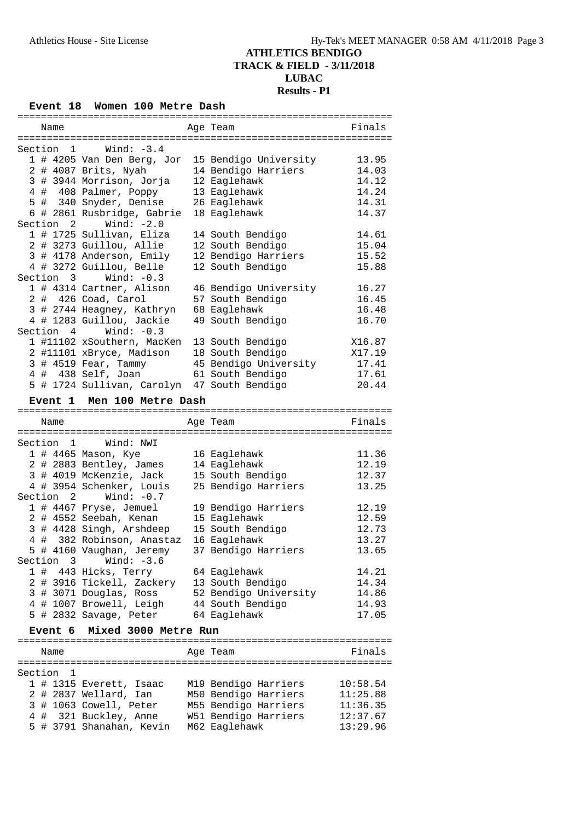# **Event 18 Women 100 Metre Dash**

|                           |  | Name      |                                                 |  | Age Team                                     | Finals               |  |  |  |  |
|---------------------------|--|-----------|-------------------------------------------------|--|----------------------------------------------|----------------------|--|--|--|--|
|                           |  |           |                                                 |  |                                              |                      |  |  |  |  |
| Wind: $-3.4$<br>Section 1 |  |           |                                                 |  |                                              |                      |  |  |  |  |
|                           |  |           | 1 # 4205 Van Den Berg, Jor                      |  | 15 Bendigo University                        | 13.95                |  |  |  |  |
|                           |  |           | 2 # 4087 Brits, Nyah                            |  | 14 Bendigo Harriers                          | 14.03                |  |  |  |  |
|                           |  |           | 3 # 3944 Morrison, Jorja                        |  | 12 Eaglehawk                                 | 14.12                |  |  |  |  |
|                           |  |           | 4 # 408 Palmer, Poppy                           |  | 13 Eaglehawk                                 | 14.24                |  |  |  |  |
|                           |  |           | 5 # 340 Snyder, Denise                          |  | 26 Eaglehawk                                 | 14.31                |  |  |  |  |
|                           |  |           | 6 # 2861 Rusbridge, Gabrie                      |  | 18 Eaglehawk                                 | 14.37                |  |  |  |  |
|                           |  |           | Section $2$ Wind: $-2.0$                        |  |                                              |                      |  |  |  |  |
|                           |  |           |                                                 |  |                                              |                      |  |  |  |  |
|                           |  |           | 1 # 1725 Sullivan, Eliza                        |  | 14 South Bendigo                             | 14.61                |  |  |  |  |
|                           |  |           | 2 # 3273 Guillou, Allie                         |  | 12 South Bendigo                             | 15.04                |  |  |  |  |
|                           |  |           | 3 # 4178 Anderson, Emily                        |  | 12 Bendigo Harriers                          | 15.52                |  |  |  |  |
|                           |  |           | 4 # 3272 Guillou, Belle                         |  | 12 South Bendigo                             | 15.88                |  |  |  |  |
|                           |  |           | Section $3$ Wind: $-0.3$                        |  |                                              |                      |  |  |  |  |
|                           |  |           | 1 # 4314 Cartner, Alison                        |  | 46 Bendigo University                        | 16.27                |  |  |  |  |
|                           |  |           | 2 # 426 Coad, Carol                             |  | 57 South Bendigo                             | 16.45                |  |  |  |  |
|                           |  |           | 3 # 2744 Heagney, Kathryn                       |  | 68 Eaglehawk                                 | 16.48                |  |  |  |  |
|                           |  |           | 4 # 1283 Guillou, Jackie                        |  | 49 South Bendigo                             | 16.70                |  |  |  |  |
|                           |  | Section 4 | Wind: $-0.3$                                    |  |                                              |                      |  |  |  |  |
|                           |  |           | 1 #11102 xSouthern, MacKen                      |  | 13 South Bendigo                             | X16.87               |  |  |  |  |
|                           |  |           | 2 #11101 xBryce, Madison                        |  | 18 South Bendigo                             | X17.19               |  |  |  |  |
|                           |  |           | 3 # 4519 Fear, Tammy                            |  | 45 Bendigo University                        | 17.41                |  |  |  |  |
|                           |  |           | 4 # 438 Self, Joan                              |  |                                              |                      |  |  |  |  |
|                           |  |           |                                                 |  | 61 South Bendigo                             | 17.61                |  |  |  |  |
|                           |  |           | 5 # 1724 Sullivan, Carolyn 47 South Bendigo     |  |                                              | 20.44                |  |  |  |  |
|                           |  |           | Event 1 Men 100 Metre Dash                      |  |                                              |                      |  |  |  |  |
|                           |  |           |                                                 |  |                                              |                      |  |  |  |  |
|                           |  |           |                                                 |  |                                              |                      |  |  |  |  |
|                           |  | Name      |                                                 |  | Age Team                                     | Finals               |  |  |  |  |
|                           |  |           |                                                 |  |                                              |                      |  |  |  |  |
|                           |  |           | Section 1 Wind: NWI                             |  |                                              |                      |  |  |  |  |
|                           |  |           |                                                 |  |                                              | 11.36                |  |  |  |  |
|                           |  |           | 1 # 4465 Mason, Kye                             |  | 16 Eaglehawk                                 |                      |  |  |  |  |
|                           |  |           | 2 # 2883 Bentley, James                         |  | 14 Eaglehawk                                 | 12.19                |  |  |  |  |
|                           |  |           | 3 # 4019 McKenzie, Jack                         |  | 15 South Bendigo                             | 12.37                |  |  |  |  |
|                           |  |           | 4 # 3954 Schenker, Louis                        |  | 25 Bendigo Harriers                          | 13.25                |  |  |  |  |
| Section                   |  |           | 2 $Wind: -0.7$                                  |  |                                              |                      |  |  |  |  |
|                           |  |           | 1 # 4467 Pryse, Jemuel                          |  | 19 Bendigo Harriers                          | 12.19                |  |  |  |  |
|                           |  |           | 2 # 4552 Seebah, Kenan 15 Eaglehawk             |  |                                              | 12.59                |  |  |  |  |
|                           |  |           | 3 # 4428 Singh, Arshdeep 15 South Bendigo       |  |                                              | 12.73                |  |  |  |  |
|                           |  |           | 4 # 382 Robinson, Anastaz                       |  | 16 Eaglehawk                                 | 13.27                |  |  |  |  |
|                           |  |           | 5 # 4160 Vaughan, Jeremy                        |  | 37 Bendigo Harriers                          | 13.65                |  |  |  |  |
|                           |  | Section 3 | Wind: $-3.6$                                    |  |                                              |                      |  |  |  |  |
|                           |  |           | 1 # 443 Hicks, Terry                            |  | 64 Eaglehawk                                 | 14.21                |  |  |  |  |
|                           |  |           | 2 # 3916 Tickell, Zackery 13 South Bendigo      |  |                                              | 14.34                |  |  |  |  |
|                           |  |           | 3 # 3071 Douglas, Ross                          |  | 52 Bendigo University                        | 14.86                |  |  |  |  |
|                           |  |           | 4 # 1007 Browell, Leigh                         |  | 44 South Bendigo                             | 14.93                |  |  |  |  |
|                           |  |           | 5 # 2832 Savage, Peter                          |  | 64 Eaglehawk                                 | 17.05                |  |  |  |  |
|                           |  |           |                                                 |  |                                              |                      |  |  |  |  |
|                           |  | Event 6   | Mixed 3000 Metre Run                            |  |                                              |                      |  |  |  |  |
|                           |  | Name      |                                                 |  | Age Team                                     | Finals               |  |  |  |  |
|                           |  |           |                                                 |  |                                              |                      |  |  |  |  |
|                           |  | Section 1 |                                                 |  |                                              |                      |  |  |  |  |
|                           |  |           | 1 # 1315 Everett, Isaac                         |  | M19 Bendigo Harriers                         | 10:58.54             |  |  |  |  |
|                           |  |           |                                                 |  |                                              |                      |  |  |  |  |
|                           |  |           | 2 # 2837 Wellard, Ian                           |  | M50 Bendigo Harriers                         | 11:25.88             |  |  |  |  |
|                           |  |           | 3 # 1063 Cowell, Peter<br>4 # 321 Buckley, Anne |  | M55 Bendigo Harriers<br>W51 Bendigo Harriers | 11:36.35<br>12:37.67 |  |  |  |  |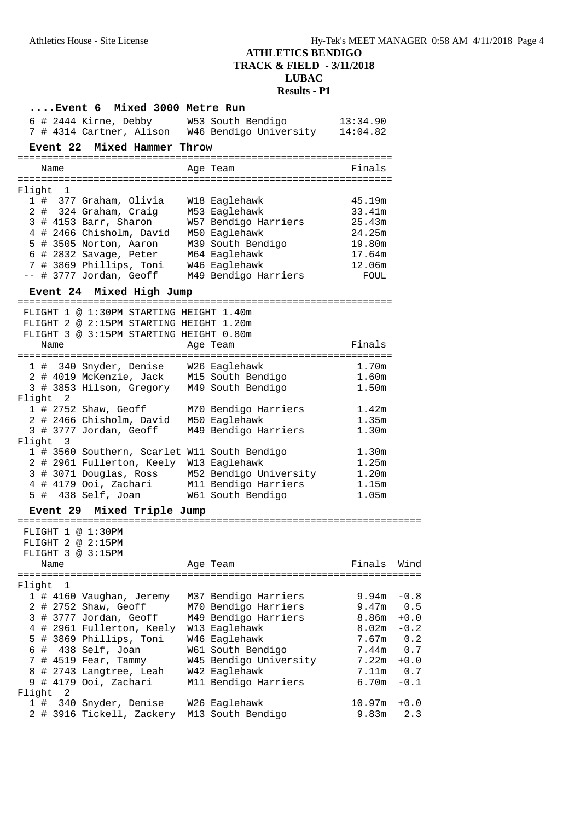| Event 6 Mixed 3000 Metre Run                                                                                                                                         |                        |                   |
|----------------------------------------------------------------------------------------------------------------------------------------------------------------------|------------------------|-------------------|
| 6 # 2444 Kirne, Debby M53 South Bendigo 13:34.90<br>7 # 4314 Cartner, Alison M46 Bendigo University 14:04.82                                                         |                        |                   |
|                                                                                                                                                                      |                        |                   |
| Event 22 Mixed Hammer Throw                                                                                                                                          |                        |                   |
| Name                                                                                                                                                                 | Age Team               | Finals            |
| Flight 1                                                                                                                                                             |                        |                   |
| 1 # 377 Graham, Olivia W18 Eaglehawk                                                                                                                                 |                        | 45.19m            |
| 2 # 324 Graham, Craig M53 Eaglehawk                                                                                                                                  |                        | 33.41m            |
|                                                                                                                                                                      |                        | 25.43m            |
| 3 # 4153 Barr, Sharon     W57 Bendigo Harriers<br>4 # 2466 Chisholm, David   M50 Eaglehawk<br>5 # 2565 Webletter                                                     |                        | 24.25m            |
|                                                                                                                                                                      |                        | 19.80m            |
| 5 # 3505 Norton, David M39 South Bendigo<br>6 # 2832 Savage, Peter M39 South Bendigo<br>7 # 3869 Dhilling M54 M64 Eaglehawk<br>7 # 3869 Phillips, Toni W46 Eaglehawk |                        | 17.64m            |
| -- # 3777 Jordan, Geoff M49 Bendigo Harriers                                                                                                                         |                        | 12.06m<br>FOUL    |
| Event 24 Mixed High Jump                                                                                                                                             |                        |                   |
|                                                                                                                                                                      |                        |                   |
| FLIGHT 1 @ 1:30PM STARTING HEIGHT 1.40m                                                                                                                              |                        |                   |
| FLIGHT 2 @ 2:15PM STARTING HEIGHT 1.20m                                                                                                                              |                        |                   |
| FLIGHT 3 @ 3:15PM STARTING HEIGHT 0.80m<br>Name                                                                                                                      | Age Team               | Finals            |
|                                                                                                                                                                      |                        |                   |
| 1 # 340 Snyder, Denise W26 Eaglehawk<br>2 # 4019 McKenzie, Jack M15 South Bendigo                                                                                    |                        | 1.70m             |
| 3 # 3853 Hilson, Gregory M49 South Bendigo                                                                                                                           |                        | 1.60m<br>1.50m    |
| Flight 2                                                                                                                                                             |                        |                   |
| 1 # 2752 Shaw, Geoff M70 Bendigo Harriers                                                                                                                            |                        | 1.42m             |
| 2 # 2466 Chisholm, David M50 Eaglehawk                                                                                                                               |                        | 1.35m             |
| 3 # 3777 Jordan, Geoff M49 Bendigo Harriers                                                                                                                          |                        | 1.30 <sub>m</sub> |
| Flight 3                                                                                                                                                             |                        |                   |
| 1 # 3560 Southern, Scarlet W11 South Bendigo<br>2 # 2961 Fullerton, Keely W13 Eaglehawk                                                                              |                        | 1.30m<br>1.25m    |
| 3 # 3071 Douglas, Ross M52 Bendigo University 1.20m                                                                                                                  |                        |                   |
| 4 # 4179 Ooi, Zachari M11 Bendigo Harriers                                                                                                                           |                        | 1.15m             |
| 5 # 438 Self, Joan W61 South Bendigo                                                                                                                                 |                        | 1.05m             |
| Event 29 Mixed Triple Jump                                                                                                                                           |                        |                   |
|                                                                                                                                                                      |                        |                   |
| FLIGHT 1 @ 1:30PM<br>FLIGHT 2 @ 2:15PM                                                                                                                               |                        |                   |
| FLIGHT 3 @ 3:15PM                                                                                                                                                    |                        |                   |
| Name                                                                                                                                                                 | Age Team               | Finals<br>Wind    |
|                                                                                                                                                                      |                        |                   |
| Flight<br>ı<br>1 # 4160 Vaughan, Jeremy                                                                                                                              | M37 Bendigo Harriers   | 9.94m<br>$-0.8$   |
| 2 # 2752 Shaw, Geoff                                                                                                                                                 | M70 Bendigo Harriers   | 9.47m<br>0.5      |
| 3 # 3777 Jordan, Geoff                                                                                                                                               | M49 Bendigo Harriers   | 8.86m<br>$+0.0$   |
| 4 # 2961 Fullerton, Keely W13 Eaglehawk                                                                                                                              |                        | 8.02m<br>$-0.2$   |
| 5 # 3869 Phillips, Toni                                                                                                                                              | W46 Eaglehawk          | 7.67m<br>0.2      |
| $6$ # 438 Self, Joan                                                                                                                                                 | W61 South Bendigo      | 0.7<br>7.44m      |
| 7 # 4519 Fear, Tammy                                                                                                                                                 | W45 Bendigo University | 7.22m<br>$+0.0$   |
| 8 # 2743 Langtree, Leah                                                                                                                                              | W42 Eaglehawk          | 7.11m<br>0.7      |
| 9 # 4179 Ooi, Zachari                                                                                                                                                | M11 Bendigo Harriers   | 6.70m<br>$-0.1$   |
| 2<br>Flight<br>1#<br>340 Snyder, Denise                                                                                                                              | W26 Eaglehawk          | 10.97m<br>$+0.0$  |
| 2 # 3916 Tickell, Zackery M13 South Bendigo                                                                                                                          |                        | 9.83m<br>2.3      |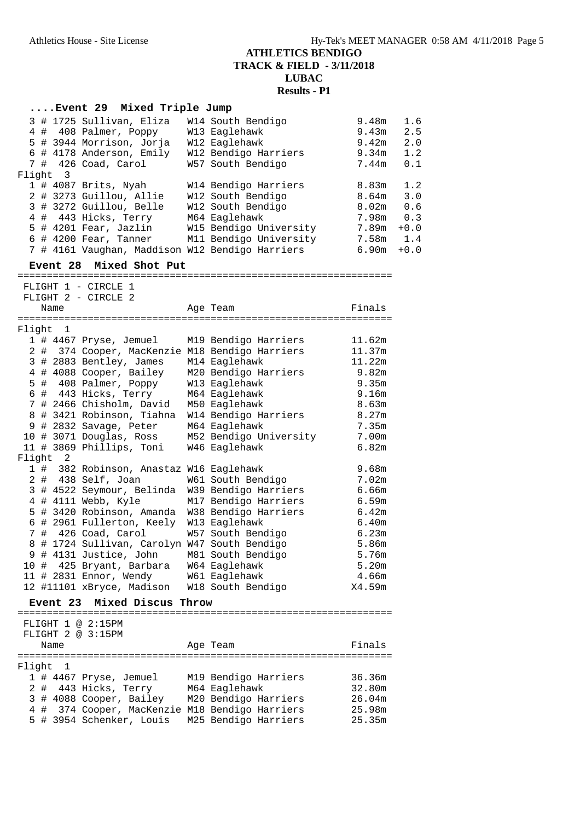#### **....Event 29 Mixed Triple Jump**

|  |          | 3 # 1725 Sullivan, Eliza                        | W14 South Bendigo      | 9.48m | 1.6    |
|--|----------|-------------------------------------------------|------------------------|-------|--------|
|  |          | 4 # 408 Palmer, Poppy                           | W13 Eaglehawk          | 9.43m | 2.5    |
|  |          | 5 # 3944 Morrison, Jorja                        | W12 Eaglehawk          | 9.42m | 2.0    |
|  |          | 6 # 4178 Anderson, Emily                        | W12 Bendigo Harriers   | 9.34m | 1.2    |
|  |          | 7 # 426 Coad, Carol                             | W57 South Bendigo      | 7.44m | 0.1    |
|  | Flight 3 |                                                 |                        |       |        |
|  |          | $1$ # 4087 Brits, Nyah                          | W14 Bendigo Harriers   | 8.83m | 1.2    |
|  |          | 2 # 3273 Guillou, Allie                         | W12 South Bendigo      | 8.64m | 3.0    |
|  |          | 3 # 3272 Guillou, Belle                         | W12 South Bendigo      | 8.02m | 0.6    |
|  |          | 4 # 443 Hicks, Terry                            | M64 Eaglehawk          | 7.98m | 0.3    |
|  |          | $5$ # 4201 Fear, Jazlin                         | W15 Bendigo University | 7.89m | $+0.0$ |
|  |          | $6$ # 4200 Fear, Tanner                         | M11 Bendigo University | 7.58m | 1.4    |
|  |          | 7 # 4161 Vaughan, Maddison W12 Bendigo Harriers |                        | 690m  | $+0$ 0 |

 7 # 4161 Vaughan, Maddison W12 Bendigo Harriers 6.90m +0.0 **Event 28 Mixed Shot Put** ================================================================ FLIGHT 1 - CIRCLE 1 FLIGHT 2 - CIRCLE 2 Name **Age Team** Age Team **Finals** ================================================================ Flight 1 1 # 4467 Pryse, Jemuel M19 Bendigo Harriers 11.62m 2 # 374 Cooper, MacKenzie M18 Bendigo Harriers 11.37m 9.821 # 2883 Bentley, Jemuel M19 Bendigo Harriers 11.62m<br>
3 # 2883 Bentley, James M14 Eaglehawk 11.22m<br>
4 # 4088 Cooper, Bailey M20 Bendigo Harriers 9.82m 4 # 4088 Cooper, Bailey M20 Bendigo Harriers 9.82m 5 # 408 Palmer, Poppy W13 Eaglehawk 9.35m 6 # 443 Hicks, Terry M64 Eaglehawk 9.16m 7 # 2466 Chisholm, David M50 Eaglehawk 8.63m 8 # 3421 Robinson, Tiahna W14 Bendigo Harriers 8.27m 9 # 2832 Savage, Peter M64 Eaglehawk 7.35m 10 # 3071 Douglas, Ross M52 Bendigo University 7.00m 11 # 3869 Phillips, Toni W46 Eaglehawk 6.82m Flight 2 light 2<br>1 # 382 Robinson, Anastaz W16 Eaglehawk 9.68m<br>2 # 438 Self, Joan W61 South Bendigo 7.02m 2 # 438 Self, Joan W61 South Bendigo 7.02m 3 # 4522 Seymour, Belinda W39 Bendigo Harriers 6.66m 4 # 4111 Webb, Kyle M17 Bendigo Harriers 6.59m 5 # 3420 Robinson, Amanda W38 Bendigo Harriers 6.42m 6 # 2961 Fullerton, Keely W13 Eaglehawk 6.40m 7 # 426 Coad, Carol W57 South Bendigo 6.23m 8 # 1724 Sullivan, Carolyn W47 South Bendigo 5.86m 9 # 4131 Justice, John M81 South Bendigo 5.76m 10 # 425 Bryant, Barbara W64 Eaglehawk 5.20m 11 # 2831 Ennor, Wendy W61 Eaglehawk 4.66m 12 #11101 xBryce, Madison W18 South Bendigo X4.59m **Event 23 Mixed Discus Throw** ================================================================ FLIGHT 1 @ 2:15PM FLIGHT 2 @ 3:15PM Name **Age Team** Age Team Finals ================================================================ Flight 1 1 # 4467 Pryse, Jemuel M19 Bendigo Harriers 36.36m

 2 # 443 Hicks, Terry M64 Eaglehawk 32.80m 3 # 4088 Cooper, Bailey M20 Bendigo Harriers 26.04m 4 # 374 Cooper, MacKenzie M18 Bendigo Harriers 25.98m 5 # 3954 Schenker, Louis M25 Bendigo Harriers 25.35m